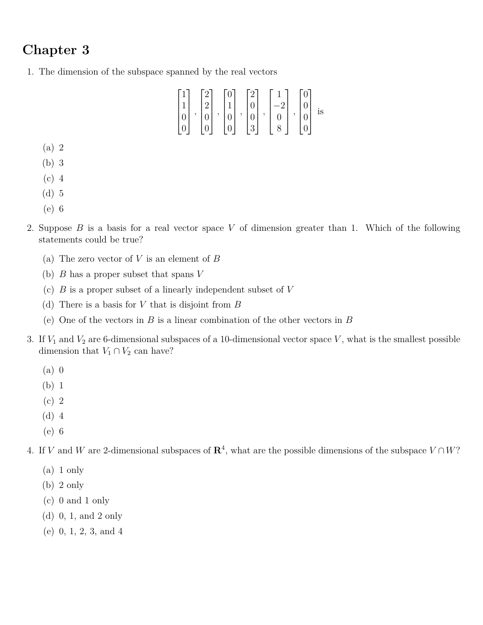## **Chapter 3**

1. The dimension of the subspace spanned by the real vectors

$$
\begin{bmatrix} 1 \\ 1 \\ 0 \\ 0 \end{bmatrix}, \begin{bmatrix} 2 \\ 2 \\ 0 \\ 0 \end{bmatrix}, \begin{bmatrix} 0 \\ 1 \\ 0 \\ 0 \end{bmatrix}, \begin{bmatrix} 2 \\ 0 \\ 0 \\ 3 \end{bmatrix}, \begin{bmatrix} 1 \\ -2 \\ 0 \\ 8 \end{bmatrix}, \begin{bmatrix} 0 \\ 0 \\ 0 \\ 0 \end{bmatrix} \text{ is}
$$

- (a) 2
- (b) 3
- (c) 4
- (d) 5
- (e) 6
- 2. Suppose *B* is a basis for a real vector space *V* of dimension greater than 1. Which of the following statements could be true?
	- (a) The zero vector of *V* is an element of *B*
	- (b) *B* has a proper subset that spans *V*
	- (c) *B* is a proper subset of a linearly independent subset of *V*
	- (d) There is a basis for *V* that is disjoint from *B*
	- (e) One of the vectors in *B* is a linear combination of the other vectors in *B*
- 3. If  $V_1$  and  $V_2$  are 6-dimensional subspaces of a 10-dimensional vector space  $V$ , what is the smallest possible dimension that  $V_1 \cap V_2$  can have?
	- (a) 0
	- (b) 1
	- (c) 2
	- (d) 4
	- (e) 6
- 4. If *V* and *W* are 2-dimensional subspaces of  $\mathbb{R}^4$ , what are the possible dimensions of the subspace  $V \cap W$ ?
	- (a) 1 only
	- (b) 2 only
	- (c) 0 and 1 only
	- (d) 0, 1, and 2 only
	- (e) 0, 1, 2, 3, and 4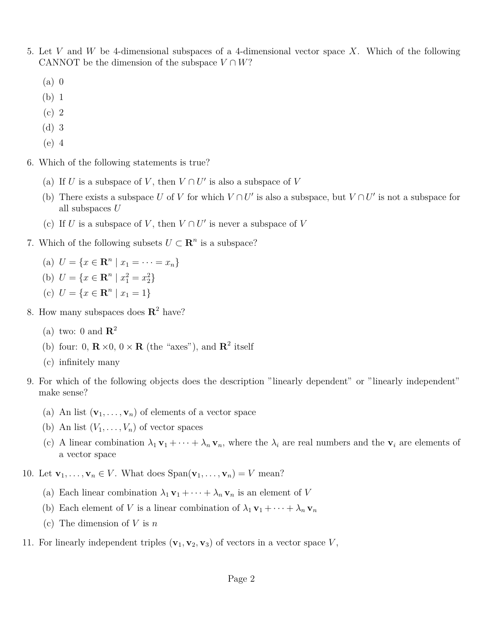- 5. Let *V* and *W* be 4-dimensional subspaces of a 4-dimensional vector space *X*. Which of the following CANNOT be the dimension of the subspace  $V \cap W$ ?
	- (a) 0
	- (b) 1
	- (c) 2
	- (d) 3
	- (e) 4
- 6. Which of the following statements is true?
	- (a) If *U* is a subspace of *V*, then  $V \cap U'$  is also a subspace of *V*
	- (b) There exists a subspace *U* of *V* for which  $V \cap U'$  is also a subspace, but  $V \cap U'$  is not a subspace for all subspaces *U*
	- (c) If *U* is a subspace of *V*, then  $V \cap U'$  is never a subspace of *V*
- 7. Which of the following subsets  $U \subset \mathbb{R}^n$  is a subspace?
	- (a)  $U = \{x \in \mathbb{R}^n \mid x_1 = \cdots = x_n\}$
	- (b)  $U = \{x \in \mathbb{R}^n \mid x_1^2 = x_2^2\}$
	- (c)  $U = \{x \in \mathbb{R}^n \mid x_1 = 1\}$
- 8. How many subspaces does **R** 2 have?
	- (a) two: 0 and  $\mathbb{R}^2$
	- (b) four: 0,  $\mathbf{R} \times 0$ ,  $0 \times \mathbf{R}$  (the "axes"), and  $\mathbf{R}^2$  itself
	- (c) infinitely many
- 9. For which of the following objects does the description "linearly dependent" or "linearly independent" make sense?
	- (a) An list  $(\mathbf{v}_1, \ldots, \mathbf{v}_n)$  of elements of a vector space
	- (b) An list  $(V_1, \ldots, V_n)$  of vector spaces
	- (c) A linear combination  $\lambda_1 \mathbf{v}_1 + \cdots + \lambda_n \mathbf{v}_n$ , where the  $\lambda_i$  are real numbers and the  $\mathbf{v}_i$  are elements of a vector space
- 10. Let  $\mathbf{v}_1, \ldots, \mathbf{v}_n \in V$ . What does  $\text{Span}(\mathbf{v}_1, \ldots, \mathbf{v}_n) = V$  mean?
	- (a) Each linear combination  $\lambda_1 \mathbf{v}_1 + \cdots + \lambda_n \mathbf{v}_n$  is an element of *V*
	- (b) Each element of *V* is a linear combination of  $\lambda_1 \mathbf{v}_1 + \cdots + \lambda_n \mathbf{v}_n$
	- (c) The dimension of *V* is *n*
- 11. For linearly independent triples  $(\mathbf{v}_1, \mathbf{v}_2, \mathbf{v}_3)$  of vectors in a vector space V,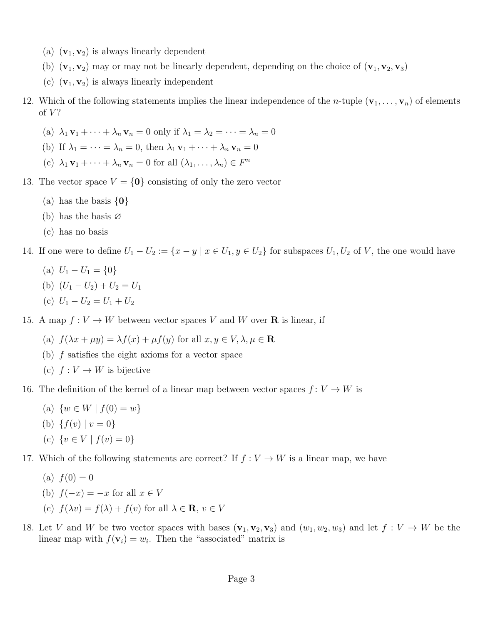- (a)  $(\mathbf{v}_1, \mathbf{v}_2)$  is always linearly dependent
- (b)  $(\mathbf{v}_1, \mathbf{v}_2)$  may or may not be linearly dependent, depending on the choice of  $(\mathbf{v}_1, \mathbf{v}_2, \mathbf{v}_3)$
- (c)  $(\mathbf{v}_1, \mathbf{v}_2)$  is always linearly independent
- 12. Which of the following statements implies the linear independence of the *n*-tuple  $(\mathbf{v}_1, \ldots, \mathbf{v}_n)$  of elements of *V* ?
	- (a)  $\lambda_1 \mathbf{v}_1 + \cdots + \lambda_n \mathbf{v}_n = 0$  only if  $\lambda_1 = \lambda_2 = \cdots = \lambda_n = 0$
	- (b) If  $\lambda_1 = \cdots = \lambda_n = 0$ , then  $\lambda_1 \mathbf{v}_1 + \cdots + \lambda_n \mathbf{v}_n = 0$
	- (c)  $\lambda_1 \mathbf{v}_1 + \cdots + \lambda_n \mathbf{v}_n = 0$  for all  $(\lambda_1, \ldots, \lambda_n) \in F^n$
- 13. The vector space  $V = \{0\}$  consisting of only the zero vector
	- (a) has the basis {**0**}
	- (b) has the basis  $\varnothing$
	- (c) has no basis
- 14. If one were to define  $U_1 U_2 := \{x y \mid x \in U_1, y \in U_2\}$  for subspaces  $U_1, U_2$  of V, the one would have
	- (a)  $U_1 U_1 = \{0\}$
	- (b)  $(U_1 U_2) + U_2 = U_1$
	- (c)  $U_1 U_2 = U_1 + U_2$

15. A map  $f: V \to W$  between vector spaces V and W over **R** is linear, if

- (a)  $f(\lambda x + \mu y) = \lambda f(x) + \mu f(y)$  for all  $x, y \in V, \lambda, \mu \in \mathbb{R}$
- (b) *f* satisfies the eight axioms for a vector space
- (c)  $f: V \to W$  is bijective

16. The definition of the kernel of a linear map between vector spaces  $f: V \to W$  is

- (a)  $\{w \in W \mid f(0) = w\}$
- (b)  ${f(v) | v = 0}$
- (c)  $\{v \in V \mid f(v) = 0\}$
- 17. Which of the following statements are correct? If  $f: V \to W$  is a linear map, we have
	- (a)  $f(0) = 0$
	- (b)  $f(-x) = -x$  for all  $x \in V$
	- (c)  $f(\lambda v) = f(\lambda) + f(v)$  for all  $\lambda \in \mathbf{R}, v \in V$
- 18. Let *V* and *W* be two vector spaces with bases  $(\mathbf{v}_1, \mathbf{v}_2, \mathbf{v}_3)$  and  $(w_1, w_2, w_3)$  and let  $f: V \to W$  be the linear map with  $f(\mathbf{v}_i) = w_i$ . Then the "associated" matrix is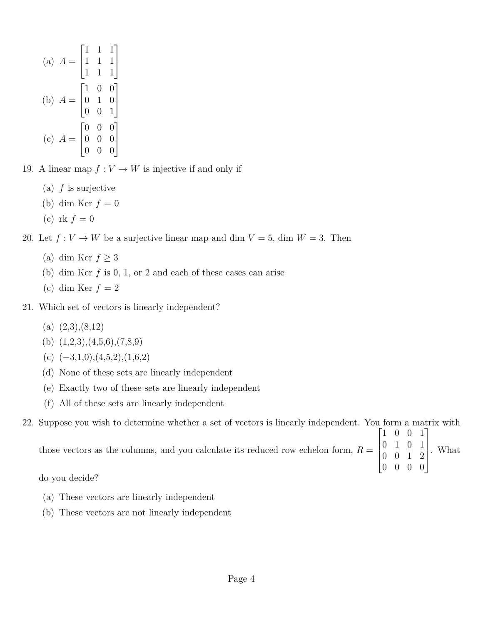(a) 
$$
A = \begin{bmatrix} 1 & 1 & 1 \\ 1 & 1 & 1 \\ 1 & 1 & 1 \end{bmatrix}
$$
  
\n(b)  $A = \begin{bmatrix} 1 & 0 & 0 \\ 0 & 1 & 0 \\ 0 & 0 & 1 \end{bmatrix}$   
\n(c)  $A = \begin{bmatrix} 0 & 0 & 0 \\ 0 & 0 & 0 \\ 0 & 0 & 0 \end{bmatrix}$ 

19. A linear map  $f: V \to W$  is injective if and only if

- (a) *f* is surjective
- (b) dim Ker  $f = 0$
- (c) rk  $f = 0$

20. Let  $f: V \to W$  be a surjective linear map and dim  $V = 5$ , dim  $W = 3$ . Then

- (a) dim Ker  $f \geq 3$
- (b) dim Ker *f* is 0, 1, or 2 and each of these cases can arise
- (c) dim Ker  $f = 2$
- 21. Which set of vectors is linearly independent?
	- (a)  $(2,3),(8,12)$
	- (b)  $(1,2,3), (4,5,6), (7,8,9)$
	- (c)  $(-3,1,0)$ , $(4,5,2)$ , $(1,6,2)$
	- (d) None of these sets are linearly independent
	- (e) Exactly two of these sets are linearly independent
	- (f) All of these sets are linearly independent

22. Suppose you wish to determine whether a set of vectors is linearly independent. You form a matrix with

| those vectors as the columns, and you calculate its reduced row echelon form, $R = \begin{bmatrix} 0 & 1 & 0 & 1 \\ 0 & 0 & 1 & 2 \end{bmatrix}$ . What | $\begin{bmatrix} 1 & 0 & 0 & 1 \end{bmatrix}$ |  |  |  |
|---------------------------------------------------------------------------------------------------------------------------------------------------------|-----------------------------------------------|--|--|--|
|                                                                                                                                                         | $\begin{bmatrix} 0 & 0 & 0 & 0 \end{bmatrix}$ |  |  |  |

do you decide?

- (a) These vectors are linearly independent
- (b) These vectors are not linearly independent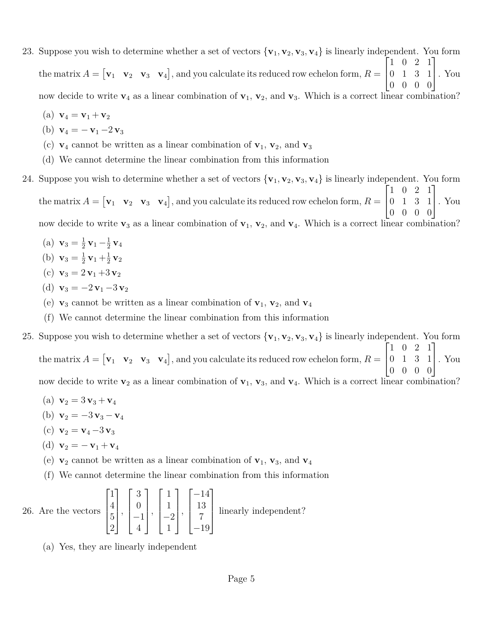- 23. Suppose you wish to determine whether a set of vectors  $\{v_1, v_2, v_3, v_4\}$  is linearly independent. You form the matrix  $A = [\mathbf{v}_1 \quad \mathbf{v}_2 \quad \mathbf{v}_3 \quad \mathbf{v}_4]$ , and you calculate its reduced row echelon form,  $R =$  $\sqrt{ }$  $\vert$ 1 0 2 1 0 1 3 1 0 0 0 0 1 . You now decide to write  $\mathbf{v}_4$  as a linear combination of  $\mathbf{v}_1$ ,  $\mathbf{v}_2$ , and  $\mathbf{v}_3$ . Which is a correct linear combination?
	- (a)  $\mathbf{v}_4 = \mathbf{v}_1 + \mathbf{v}_2$
	- (b)  $\mathbf{v}_4 = -\mathbf{v}_1 2\mathbf{v}_3$
	- (c)  $\mathbf{v}_4$  cannot be written as a linear combination of  $\mathbf{v}_1$ ,  $\mathbf{v}_2$ , and  $\mathbf{v}_3$
	- (d) We cannot determine the linear combination from this information
- 24. Suppose you wish to determine whether a set of vectors  $\{v_1, v_2, v_3, v_4\}$  is linearly independent. You form the matrix  $A = [\mathbf{v}_1 \quad \mathbf{v}_2 \quad \mathbf{v}_3 \quad \mathbf{v}_4]$ , and you calculate its reduced row echelon form,  $R =$  $\sqrt{ }$  $\overline{1}$ 1 0 2 1 0 1 3 1 0 0 0 0 1 . You

now decide to write  $\mathbf{v}_3$  as a linear combination of  $\mathbf{v}_1$ ,  $\mathbf{v}_2$ , and  $\mathbf{v}_4$ . Which is a correct linear combination?

- (a)  $\mathbf{v}_3 = \frac{1}{2}$  $\frac{1}{2}$  **v**<sub>1</sub>  $-\frac{1}{2}$  $\frac{1}{2}$  **v**<sub>4</sub>
- (b)  $\mathbf{v}_3 = \frac{1}{2}$  $\frac{1}{2}v_1 + \frac{1}{2}$  $\frac{1}{2}$  **v**<sub>2</sub>
- (c)  $\mathbf{v}_3 = 2 \mathbf{v}_1 + 3 \mathbf{v}_2$
- (d)  $\mathbf{v}_3 = -2\mathbf{v}_1 3\mathbf{v}_2$
- (e)  $\mathbf{v}_3$  cannot be written as a linear combination of  $\mathbf{v}_1$ ,  $\mathbf{v}_2$ , and  $\mathbf{v}_4$
- (f) We cannot determine the linear combination from this information
- 25. Suppose you wish to determine whether a set of vectors  $\{v_1, v_2, v_3, v_4\}$  is linearly independent. You form the matrix  $A = [\mathbf{v}_1 \quad \mathbf{v}_2 \quad \mathbf{v}_3 \quad \mathbf{v}_4]$ , and you calculate its reduced row echelon form,  $R =$  $\sqrt{ }$  $\overline{1}$ 1 0 2 1 0 1 3 1 0 0 0 0 1 . You now decide to write  $\mathbf{v}_2$  as a linear combination of  $\mathbf{v}_1$ ,  $\mathbf{v}_3$ , and  $\mathbf{v}_4$ . Which is a correct linear combination?
	- (a)  $\mathbf{v}_2 = 3 \mathbf{v}_3 + \mathbf{v}_4$
	- (b)  $\mathbf{v}_2 = -3\mathbf{v}_3 \mathbf{v}_4$
	- (c)  $\mathbf{v}_2 = \mathbf{v}_4 3 \mathbf{v}_3$
	- (d)  $\mathbf{v}_2 = -\mathbf{v}_1 + \mathbf{v}_4$
	- (e)  $\mathbf{v}_2$  cannot be written as a linear combination of  $\mathbf{v}_1$ ,  $\mathbf{v}_3$ , and  $\mathbf{v}_4$
	- (f) We cannot determine the linear combination from this information

26. Are the vectors  $\sqrt{ }$  $\Bigg\}$ 1 4 5 2 1  $\Bigg\}$ ,  $\sqrt{ }$  $\Big\}$ 3 0 −1 4 1  $\Bigg\}$ ,  $\sqrt{ }$  $\Big\}$ 1 1  $-2$ 1 1  $\Bigg\}$ ,  $\sqrt{ }$  $\Big\}$ −14 13 7 −19 1  $\overline{\phantom{a}}$ linearly independent?

(a) Yes, they are linearly independent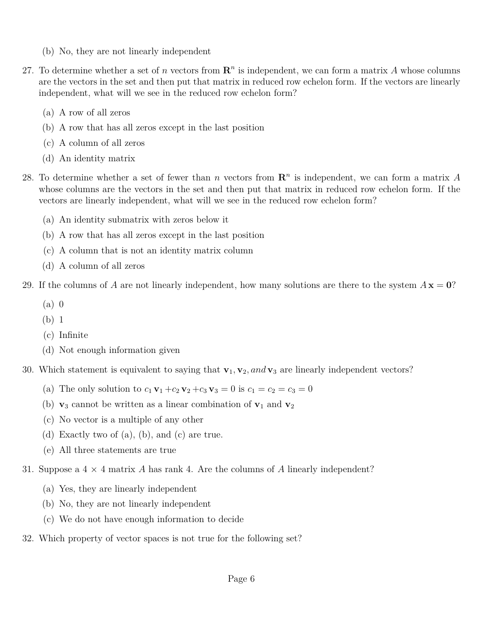- (b) No, they are not linearly independent
- 27. To determine whether a set of *n* vectors from  $\mathbb{R}^n$  is independent, we can form a matrix *A* whose columns are the vectors in the set and then put that matrix in reduced row echelon form. If the vectors are linearly independent, what will we see in the reduced row echelon form?
	- (a) A row of all zeros
	- (b) A row that has all zeros except in the last position
	- (c) A column of all zeros
	- (d) An identity matrix
- 28. To determine whether a set of fewer than *n* vectors from  $\mathbb{R}^n$  is independent, we can form a matrix A whose columns are the vectors in the set and then put that matrix in reduced row echelon form. If the vectors are linearly independent, what will we see in the reduced row echelon form?
	- (a) An identity submatrix with zeros below it
	- (b) A row that has all zeros except in the last position
	- (c) A column that is not an identity matrix column
	- (d) A column of all zeros
- 29. If the columns of *A* are not linearly independent, how many solutions are there to the system  $A\mathbf{x} = \mathbf{0}$ ?
	- (a) 0
	- (b) 1
	- (c) Infinite
	- (d) Not enough information given
- 30. Which statement is equivalent to saying that  $\mathbf{v}_1, \mathbf{v}_2, and \mathbf{v}_3$  are linearly independent vectors?
	- (a) The only solution to  $c_1 \mathbf{v}_1 + c_2 \mathbf{v}_2 + c_3 \mathbf{v}_3 = 0$  is  $c_1 = c_2 = c_3 = 0$
	- (b)  $\mathbf{v}_3$  cannot be written as a linear combination of  $\mathbf{v}_1$  and  $\mathbf{v}_2$
	- (c) No vector is a multiple of any other
	- (d) Exactly two of (a), (b), and (c) are true.
	- (e) All three statements are true
- 31. Suppose a 4 × 4 matrix *A* has rank 4. Are the columns of *A* linearly independent?
	- (a) Yes, they are linearly independent
	- (b) No, they are not linearly independent
	- (c) We do not have enough information to decide
- 32. Which property of vector spaces is not true for the following set?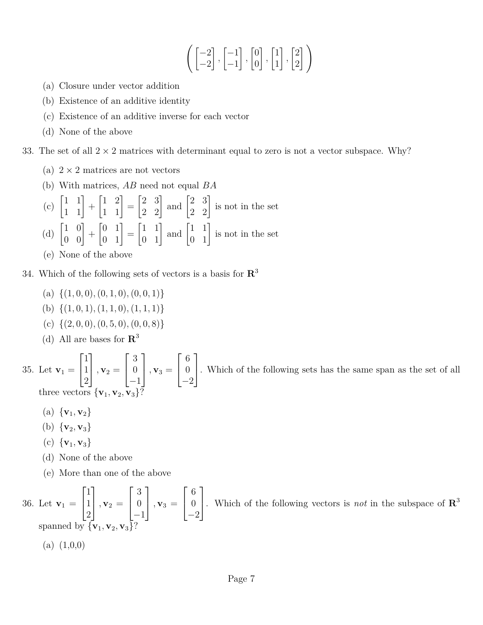$$
\left( \begin{bmatrix} -2 \\ -2 \end{bmatrix}, \begin{bmatrix} -1 \\ -1 \end{bmatrix}, \begin{bmatrix} 0 \\ 0 \end{bmatrix}, \begin{bmatrix} 1 \\ 1 \end{bmatrix}, \begin{bmatrix} 2 \\ 2 \end{bmatrix} \right)
$$

- (a) Closure under vector addition
- (b) Existence of an additive identity
- (c) Existence of an additive inverse for each vector
- (d) None of the above

33. The set of all  $2 \times 2$  matrices with determinant equal to zero is not a vector subspace. Why?

- (a)  $2 \times 2$  matrices are not vectors
- (b) With matrices, *AB* need not equal *BA*
- (c)  $\begin{bmatrix} 1 & 1 \\ 1 & 1 \end{bmatrix}$  +  $\begin{bmatrix} 1 & 2 \\ 1 & 1 \end{bmatrix} =$  $\begin{bmatrix} 2 & 3 \\ 2 & 2 \end{bmatrix}$  and  $\begin{bmatrix} 2 & 3 \\ 2 & 2 \end{bmatrix}$  is not in the set (d)  $\begin{bmatrix} 1 & 0 \\ 0 & 0 \end{bmatrix}$  +  $\begin{bmatrix} 0 & 1 \\ 0 & 1 \end{bmatrix}$  =  $\begin{bmatrix} 1 & 1 \\ 0 & 1 \end{bmatrix}$  and  $\begin{bmatrix} 1 & 1 \\ 0 & 1 \end{bmatrix}$  is not in the set
- (e) None of the above
- 34. Which of the following sets of vectors is a basis for **R** 3
	- - $\{(a) \{(1, 0, 0), (0, 1, 0), (0, 0, 1)\}\}$
		- (b) {(1*,* 0*,* 1)*,*(1*,* 1*,* 0)*,*(1*,* 1*,* 1)}
		- (c) {(2*,* 0*,* 0)*,*(0*,* 5*,* 0)*,*(0*,* 0*,* 8)}
		- (d) All are bases for **R** 3

35. Let  $v_1 =$  $\lceil$  $\overline{1}$ 1 1 2 1  $\Big\}$ ,  $\mathbf{v}_2 =$  $\sqrt{ }$  $\overline{1}$ 3  $\overline{0}$ −1 1  $\Big\}$ ,  $\mathbf{v}_3 =$  $\sqrt{ }$  $\overline{1}$ 6 0 −2 1 . Which of the following sets has the same span as the set of all three vectors  $\{v_1, v_2, v_3\}$ 

- (a)  $\{v_1, v_2\}$
- (b)  $\{v_2, v_3\}$
- (c)  $\{v_1, v_3\}$
- (d) None of the above
- (e) More than one of the above

36. Let  $v_1 =$  $\sqrt{ }$  $\overline{\phantom{a}}$ 1 1 2 1  $\vert$ ,  $\mathbf{v}_2$  =  $\sqrt{ }$  $\vert$ 3 0 −1 1  $\vert$ ,  $\mathbf{v}_3$  =  $\sqrt{ }$  $\overline{1}$ 6 0 −2 1 . Which of the following vectors is *not* in the subspace of **<sup>R</sup>** 3 spanned by  $\{v_1, v_2, v_3\}$  $(a)$   $(1,0,0)$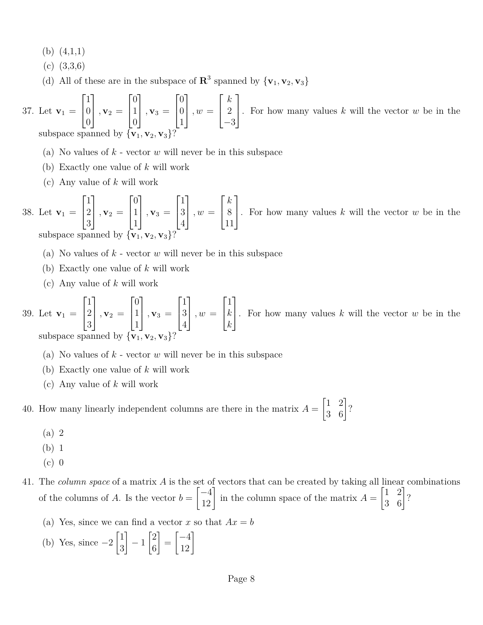(b) (4,1,1)

- (c) (3,3,6)
- (d) All of these are in the subspace of  $\mathbb{R}^3$  spanned by  $\{v_1, v_2, v_3\}$

37. Let 
$$
\mathbf{v}_1 = \begin{bmatrix} 1 \\ 0 \\ 0 \end{bmatrix}
$$
,  $\mathbf{v}_2 = \begin{bmatrix} 0 \\ 1 \\ 0 \end{bmatrix}$ ,  $\mathbf{v}_3 = \begin{bmatrix} 0 \\ 0 \\ 1 \end{bmatrix}$ ,  $w = \begin{bmatrix} k \\ 2 \\ -3 \end{bmatrix}$ . For how many values k will the vector w be in the subspace spanned by  $\{\mathbf{v}_1, \mathbf{v}_2, \mathbf{v}_3\}$ ?

- (a) No values of *k* vector *w* will never be in this subspace
- (b) Exactly one value of *k* will work
- (c) Any value of *k* will work

38. Let  $v_1 =$  $\sqrt{ }$  $\overline{1}$ 1 2 3 1  $\Big\}$ ,  $\mathbf{v}_2 =$  $\sqrt{ }$  $\overline{1}$  $\overline{0}$ 1 1 1  $\Big\}$ ,  $\mathbf{v}_3 =$  $\sqrt{ }$  $\overline{1}$ 1 3 4 1  $\Big\}$ ,  $w =$  $\sqrt{ }$  $\overline{1}$ *k* 8 11 1 . For how many values *<sup>k</sup>* will the vector *<sup>w</sup>* be in the subspace spanned by  $\{v_1, v_2, v_3\}$ ?

- (a) No values of *k* vector *w* will never be in this subspace
- (b) Exactly one value of *k* will work
- (c) Any value of *k* will work

39. Let  $v_1 =$  $\sqrt{ }$  $\overline{1}$ 1 2 3 1  $\vert$ ,  $\mathbf{v}_2$  =  $\lceil$  $\overline{1}$ 0 1 1 1  $\vert$ ,  $\mathbf{v}_3$  =  $\lceil$  $\overline{1}$ 1 3 4 1  $\Big\}$ ,  $w =$  $\sqrt{ }$  $\overline{1}$ 1 *k k* 1 . For how many values *<sup>k</sup>* will the vector *<sup>w</sup>* be in the subspace spanned by  $\{v_1, v_2, v_3\}$ 

- (a) No values of *k* vector *w* will never be in this subspace
- (b) Exactly one value of *k* will work
- (c) Any value of *k* will work

40. How many linearly independent columns are there in the matrix  $A =$  $\begin{bmatrix} 1 & 2 \\ 3 & 6 \end{bmatrix}$ ?

- (a) 2
- (b) 1
- $(c)$  0
- 41. The *column space* of a matrix *A* is the set of vectors that can be created by taking all linear combinations of the columns of  $A$ . Is the vector  $b =$  $\begin{bmatrix} -4 \\ 12 \end{bmatrix}$  in the column space of the matrix *A* =  $\begin{bmatrix} 1 & 2 \\ 3 & 6 \end{bmatrix}$ ?
	- (a) Yes, since we can find a vector x so that  $Ax = b$
	- (b) Yes, since  $-2$  $\lceil 1 \rceil$ 3 1 − 1  $\lceil 2 \rceil$ 6 1 =  $\begin{bmatrix} -4 \\ 12 \end{bmatrix}$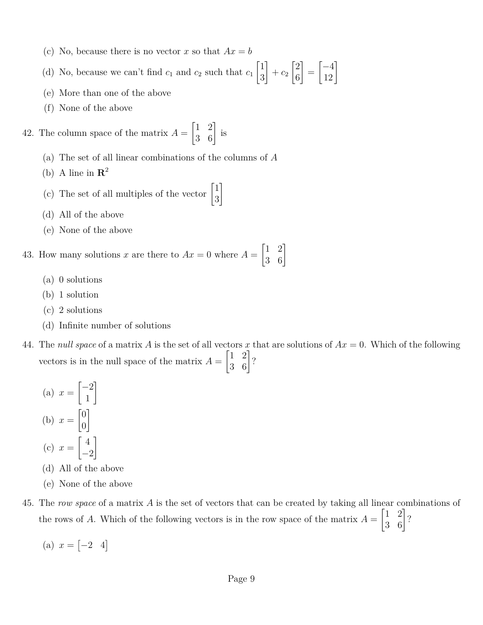- (c) No, because there is no vector x so that  $Ax = b$
- (d) No, because we can't find  $c_1$  and  $c_2$  such that  $c_1$  $\lceil 1 \rceil$ 3 1  $+ c_2$  $\lceil 2 \rceil$ 6 1 =  $\begin{bmatrix} -4 \\ 12 \end{bmatrix}$
- (e) More than one of the above
- (f) None of the above

42. The column space of the matrix  $A =$  $\begin{bmatrix} 1 & 2 \\ 3 & 6 \end{bmatrix}$  is

- (a) The set of all linear combinations of the columns of *A*
- (b) A line in  $\mathbb{R}^2$
- (c) The set of all multiples of the vector  $\begin{bmatrix} 1 \\ 2 \end{bmatrix}$ 3
- (d) All of the above
- (e) None of the above

43. How many solutions *x* are there to  $Ax = 0$  where  $A =$  $\begin{bmatrix} 1 & 2 \\ 3 & 6 \end{bmatrix}$ 

- (a) 0 solutions
- (b) 1 solution
- (c) 2 solutions
- (d) Infinite number of solutions
- 44. The *null space* of a matrix A is the set of all vectors x that are solutions of  $Ax = 0$ . Which of the following vectors is in the null space of the matrix  $A =$  $\begin{bmatrix} 1 & 2 \\ 3 & 6 \end{bmatrix}$ ?

1

- $(a)$   $x =$  $\lceil -2 \rceil$ 1 1 (b)  $x =$  $\lceil 0$ 0 1  $(c)$   $x =$  $\lceil 4 \rceil$ −2 1
- (d) All of the above
- (e) None of the above
- 45. The *row space* of a matrix *A* is the set of vectors that can be created by taking all linear combinations of the rows of *A*. Which of the following vectors is in the row space of the matrix  $A =$  $\begin{bmatrix} 1 & 2 \\ 3 & 6 \end{bmatrix}$ ?
	- (a)  $x = \begin{bmatrix} -2 & 4 \end{bmatrix}$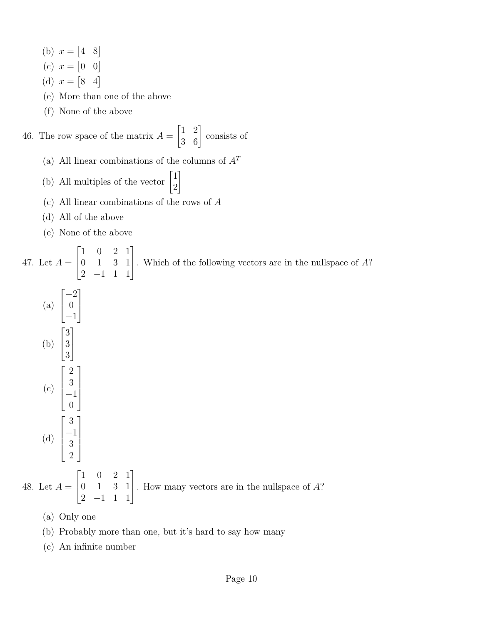(b)  $x = \begin{bmatrix} 4 & 8 \end{bmatrix}$ 

- (c)  $x = \begin{bmatrix} 0 & 0 \end{bmatrix}$
- (d)  $x = \begin{bmatrix} 8 & 4 \end{bmatrix}$
- (e) More than one of the above
- (f) None of the above

46. The row space of the matrix  $A =$  $\begin{bmatrix} 1 & 2 \\ 3 & 6 \end{bmatrix}$  consists of

(a) All linear combinations of the columns of  $A<sup>T</sup>$ 

1

- (b) All multiples of the vector  $\begin{bmatrix} 1 \\ 2 \end{bmatrix}$ 2
- (c) All linear combinations of the rows of *A*
- (d) All of the above
- (e) None of the above

47. Let  $A =$  $\sqrt{ }$  $\overline{1}$ 1 0 2 1 0 1 3 1 2 −1 1 1 1 . Which of the following vectors are in the nullspace of *<sup>A</sup>*? (a)  $\sqrt{ }$  $\overline{\phantom{a}}$ −2 0 −1 1  $\overline{a}$ (b)  $\sqrt{ }$  $\overline{\phantom{a}}$ 3 3 3 1  $\frac{1}{2}$ (c)  $\sqrt{ }$  $\Bigg\}$ 2 3 −1 0 1  $\Bigg\}$ (d)  $\sqrt{ }$  $\Bigg\}$ 3 −1 3 2 1  $\Bigg\}$ 48. Let  $A =$  $\sqrt{ }$  $\vert$ 1 0 2 1 0 1 3 1 2 −1 1 1 1 . How many vectors are in the nullspace of *<sup>A</sup>*?

(a) Only one

- (b) Probably more than one, but it's hard to say how many
- (c) An infinite number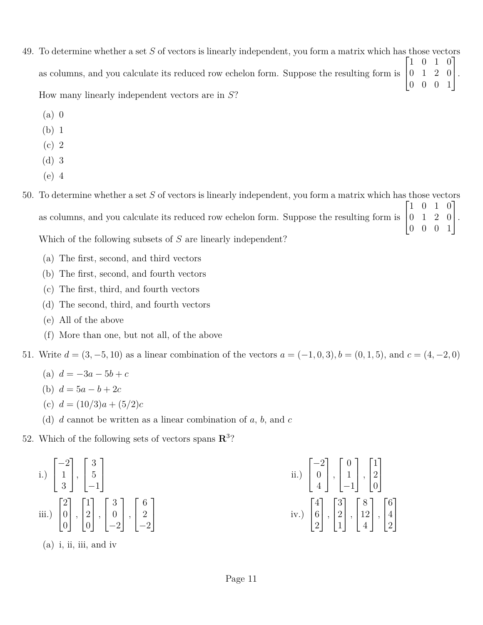- 49. To determine whether a set *S* of vectors is linearly independent, you form a matrix which has those vectors as columns, and you calculate its reduced row echelon form. Suppose the resulting form is  $\sqrt{ }$  $\overline{1}$ 1 0 1 0 0 1 2 0 0 0 0 1 1  $\vert \cdot$ How many linearly independent vectors are in *S*?
	- (a) 0
	- (b) 1
	- (c) 2
	- (d) 3
	- (e) 4
- 50. To determine whether a set *S* of vectors is linearly independent, you form a matrix which has those vectors as columns, and you calculate its reduced row echelon form. Suppose the resulting form is  $\sqrt{ }$  $\overline{1}$ 1 0 1 0 0 1 2 0 0 0 0 1 1  $\vert \cdot$ Which of the following subsets of *S* are linearly independent?
	- (a) The first, second, and third vectors
	- (b) The first, second, and fourth vectors
	- (c) The first, third, and fourth vectors
	- (d) The second, third, and fourth vectors
	- (e) All of the above
	- (f) More than one, but not all, of the above

51. Write  $d = (3, -5, 10)$  as a linear combination of the vectors  $a = (-1, 0, 3), b = (0, 1, 5),$  and  $c = (4, -2, 0)$ 

- (a)  $d = -3a 5b + c$
- (b)  $d = 5a b + 2c$
- (c) *d* = (10*/*3)*a* + (5*/*2)*c*
- (d) *d* cannot be written as a linear combination of *a*, *b*, and *c*

52. Which of the following sets of vectors spans  $\mathbb{R}^3$ ?

i.) 
$$
\begin{bmatrix} -2 \\ 1 \\ 3 \end{bmatrix}
$$
,  $\begin{bmatrix} 3 \\ 5 \\ -1 \end{bmatrix}$   
\nii.)  $\begin{bmatrix} -2 \\ 0 \\ 4 \end{bmatrix}$ ,  $\begin{bmatrix} 0 \\ 1 \\ -1 \end{bmatrix}$ ,  $\begin{bmatrix} 1 \\ 2 \\ 0 \end{bmatrix}$   
\niii.)  $\begin{bmatrix} 2 \\ 0 \\ 0 \end{bmatrix}$ ,  $\begin{bmatrix} 1 \\ 2 \\ 0 \end{bmatrix}$ ,  $\begin{bmatrix} 3 \\ 0 \\ -2 \end{bmatrix}$ ,  $\begin{bmatrix} 6 \\ 2 \\ -2 \end{bmatrix}$   
\niv.)  $\begin{bmatrix} 4 \\ 6 \\ 2 \end{bmatrix}$ ,  $\begin{bmatrix} 3 \\ 2 \\ 1 \end{bmatrix}$ ,  $\begin{bmatrix} 8 \\ 12 \\ 4 \end{bmatrix}$ ,  $\begin{bmatrix} 6 \\ 4 \\ 2 \end{bmatrix}$ 

(a) i, ii, iii, and iv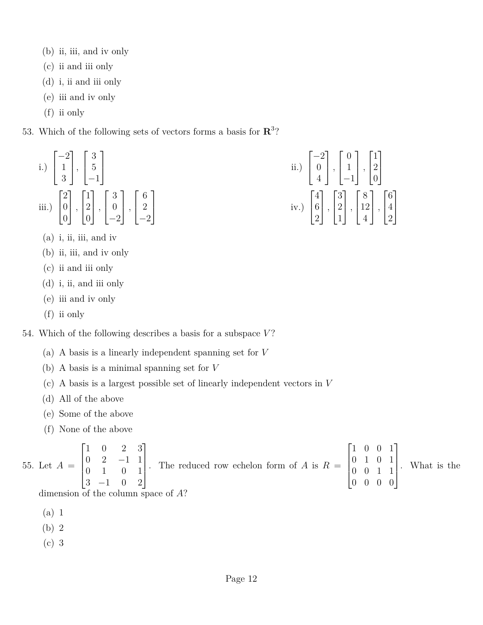- (b) ii, iii, and iv only
- (c) ii and iii only
- (d) i, ii and iii only
- (e) iii and iv only
- (f) ii only
- 53. Which of the following sets of vectors forms a basis for **R** 3 ?

i.) 
$$
\begin{bmatrix} -2 \\ 1 \\ 3 \end{bmatrix}
$$
,  $\begin{bmatrix} 3 \\ 5 \\ -1 \end{bmatrix}$   
ii.)  
ii.)  $\begin{bmatrix} 2 \\ 0 \\ 0 \end{bmatrix}$ ,  $\begin{bmatrix} 1 \\ 2 \\ 0 \end{bmatrix}$ ,  $\begin{bmatrix} 3 \\ 0 \\ -2 \end{bmatrix}$ ,  $\begin{bmatrix} 6 \\ 2 \\ -2 \end{bmatrix}$  iv.)

- $(a)$  i, ii, iii, and iv
- (b) ii, iii, and iv only
- (c) ii and iii only
- (d) i, ii, and iii only
- (e) iii and iv only
- (f) ii only

54. Which of the following describes a basis for a subspace *V* ?

- (a) A basis is a linearly independent spanning set for *V*
- (b) A basis is a minimal spanning set for *V*
- (c) A basis is a largest possible set of linearly independent vectors in *V*
- (d) All of the above
- (e) Some of the above
- (f) None of the above

55. Let 
$$
A = \begin{bmatrix} 1 & 0 & 2 & 3 \\ 0 & 2 & -1 & 1 \\ 0 & 1 & 0 & 1 \\ 3 & -1 & 0 & 2 \end{bmatrix}
$$
. The reduced row echelon form of A is  $R = \begin{bmatrix} 1 & 0 & 0 & 1 \\ 0 & 1 & 0 & 1 \\ 0 & 0 & 1 & 1 \\ 0 & 0 & 0 & 0 \end{bmatrix}$ . What is the dimension of the column space of  $A$ ?

 $\lceil$ 

−2 0 4

1 *,*  $\sqrt{ }$ 

0 1 −1

1 *,*

 $\sqrt{ }$ 

8 12 4

 $\overline{1}$ 

 $\sqrt{ }$ 

1 2 0

1

 $\vert$ 

 $\sqrt{ }$ 

6 4 2

1

 $\mathbf{I}$ 

 $\overline{1}$ 

 $\overline{1}$ 

1 *,*

 $\overline{1}$ 

3 2 1

1 *,*

 $\sqrt{ }$ 

 $\overline{1}$ 

 $\overline{\phantom{a}}$ 

 $\sqrt{ }$ 

4 6 2

1 *,*

 $\overline{1}$ 

dimension of the column space of *A*?

- (a) 1
- (b) 2
- (c) 3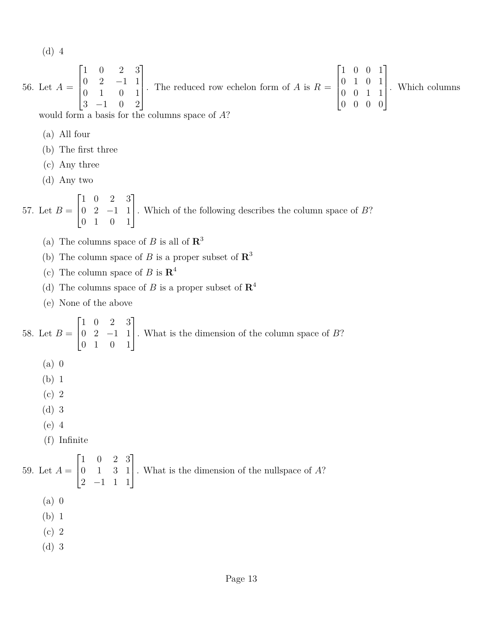(d) 4

56. Let 
$$
A = \begin{bmatrix} 1 & 0 & 2 & 3 \\ 0 & 2 & -1 & 1 \\ 0 & 1 & 0 & 1 \\ 3 & -1 & 0 & 2 \end{bmatrix}
$$
. The reduced row echelon form of A is  $R = \begin{bmatrix} 1 & 0 & 0 & 1 \\ 0 & 1 & 0 & 1 \\ 0 & 0 & 1 & 1 \\ 0 & 0 & 0 & 0 \end{bmatrix}$ . Which columns

would form a basis for the columns space of *A*?

- (a) All four
- (b) The first three
- (c) Any three
- (d) Any two

57. Let  $B =$  $\sqrt{ }$  $\overline{1}$ 1 0 2 3 0 2 −1 1 0 1 0 1 1 . Which of the following describes the column space of *<sup>B</sup>*?

- (a) The columns space of *B* is all of  $\mathbb{R}^3$
- (b) The column space of *B* is a proper subset of  $\mathbb{R}^3$
- (c) The column space of *B* is  $\mathbb{R}^4$
- (d) The columns space of *B* is a proper subset of  $\mathbb{R}^4$
- (e) None of the above

58. Let  $B =$  $\sqrt{ }$  $\overline{1}$ 1 0 2 3 0 2 −1 1 0 1 0 1 1 . What is the dimension of the column space of *<sup>B</sup>*? (a) 0 (b) 1 (c) 2 (d) 3 (e) 4 (f) Infinite 59. Let  $A =$  $\sqrt{ }$  $\overline{\phantom{a}}$ 1 0 2 3 0 1 3 1 2 −1 1 1 1 . What is the dimension of the nullspace of *<sup>A</sup>*? (a) 0 (b) 1 (c) 2 (d) 3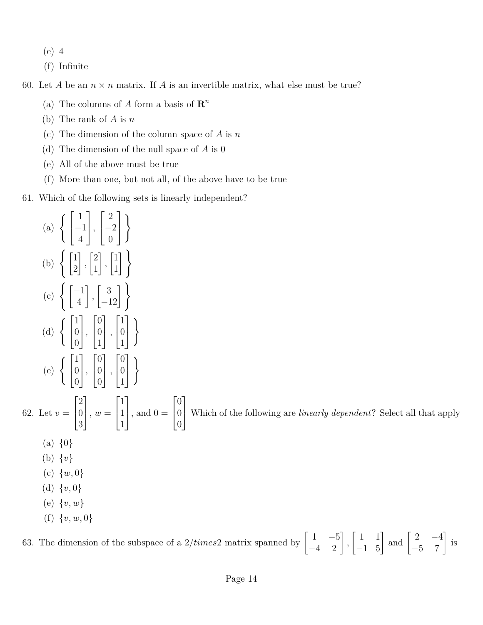- (e) 4
- (f) Infinite

60. Let *A* be an  $n \times n$  matrix. If *A* is an invertible matrix, what else must be true?

- (a) The columns of *A* form a basis of  $\mathbb{R}^n$
- (b) The rank of *A* is *n*
- (c) The dimension of the column space of *A* is *n*
- (d) The dimension of the null space of *A* is 0
- (e) All of the above must be true
- (f) More than one, but not all, of the above have to be true
- 61. Which of the following sets is linearly independent?



63. The dimension of the subspace of a  $2/times2$  matrix spanned by  $\begin{bmatrix} 1 & -5 \\ -4 & 2 \end{bmatrix}$ ,  $\begin{bmatrix} 1 & 1 \\ -1 & 5 \end{bmatrix}$  and  $\begin{bmatrix} 2 & -4 \\ -5 & 7 \end{bmatrix}$  is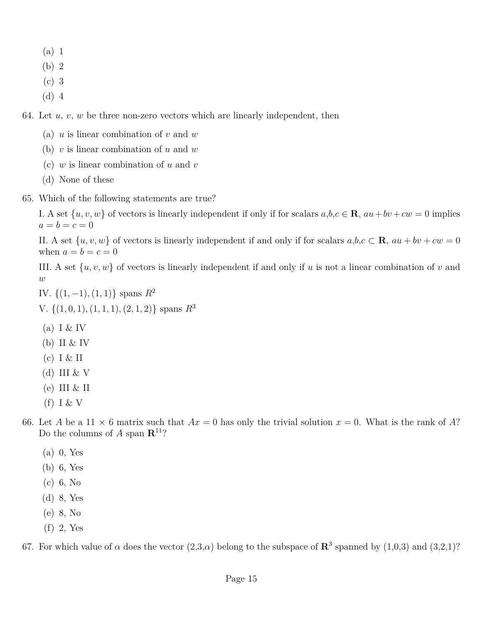- (a) 1
- (b) 2
- (c) 3
- (d) 4

64. Let *u*, *v*, *w* be three non-zero vectors which are linearly independent, then

- (a) *u* is linear combination of *v* and *w*
- (b) *v* is linear combination of *u* and *w*
- (c) *w* is linear combination of *u* and *v*
- (d) None of these
- 65. Which of the following statements are true?

I. A set  $\{u, v, w\}$  of vectors is linearly independent if only if for scalars  $a, b, c \in \mathbf{R}$ ,  $au + bv + cw = 0$  implies  $a = b = c = 0$ 

II. A set  $\{u, v, w\}$  of vectors is linearly independent if and only if for scalars  $a, b, c \in \mathbf{R}$ ,  $au + bv + cw = 0$ when  $a = b = c = 0$ 

III. A set {*u, v, w*} of vectors is linearly independent if and only if *u* is not a linear combination of *v* and *w*

- IV. {(1*,* −1)*,*(1*,* 1)} spans *R*<sup>2</sup>
- V. {(1*,* 0*,* 1)*,*(1*,* 1*,* 1)*,*(2*,* 1*,* 2)} spans *R*<sup>3</sup>
- (a) I  $&$  IV
- (b) II & IV
- $(c)$  I & II
- (d) III  $&V$
- $(e)$  III & II
- $(f)$  I & V
- 66. Let *A* be a 11  $\times$  6 matrix such that  $Ax = 0$  has only the trivial solution  $x = 0$ . What is the rank of *A*? Do the columns of *A* span  $\mathbb{R}^{11}$ ?
	- (a) 0, Yes
	- (b) 6, Yes
	- (c) 6, No
	- (d) 8, Yes
	- (e) 8, No
	- (f) 2, Yes

67. For which value of  $\alpha$  does the vector  $(2,3,\alpha)$  belong to the subspace of  $\mathbb{R}^3$  spanned by  $(1,0,3)$  and  $(3,2,1)$ ?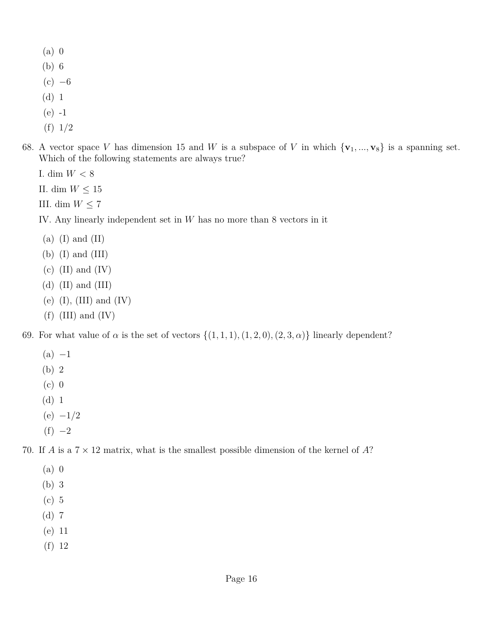- (a) 0
- (b) 6
- $(c) -6$
- (d) 1
- (e) -1
- (f) 1/2
- 68. A vector space *V* has dimension 15 and *W* is a subspace of *V* in which  $\{v_1, ..., v_8\}$  is a spanning set. Which of the following statements are always true?
	- I. dim *W <* 8
	- II. dim  $W \leq 15$
	- III. dim  $W \leq 7$
	- IV. Any linearly independent set in *W* has no more than 8 vectors in it
	- $(a)$  (I) and (II)
	- (b)  $(I)$  and  $(III)$
	- $(c)$  (II) and (IV)
	- (d)  $(II)$  and  $(III)$
	- (e)  $(I)$ ,  $(III)$  and  $(IV)$
	- $(f)$  (III) and (IV)

69. For what value of  $\alpha$  is the set of vectors  $\{(1,1,1), (1,2,0), (2,3,\alpha)\}\$  linearly dependent?

- $(a) -1$
- (b) 2
- (c) 0
- (d) 1
- (e) −1*/*2
- $(f) -2$

70. If *A* is a 7 × 12 matrix, what is the smallest possible dimension of the kernel of *A*?

- (a) 0
- (b) 3
- (c) 5
- (d) 7
- (e) 11
- (f) 12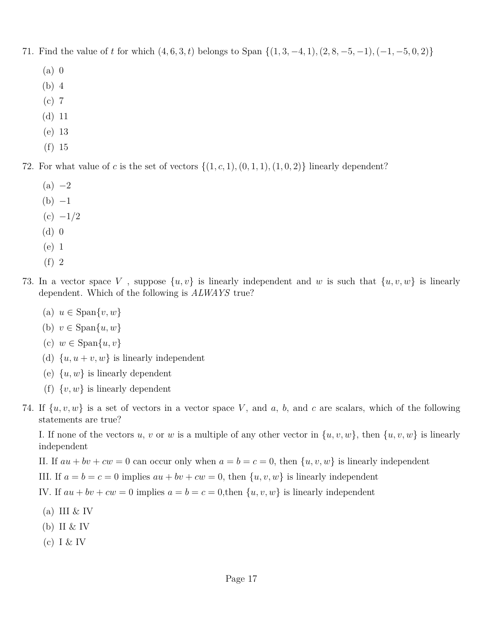- 71. Find the value of *t* for which  $(4, 6, 3, t)$  belongs to Span  $\{(1, 3, -4, 1), (2, 8, -5, -1), (-1, -5, 0, 2)\}$ 
	- (a) 0
	- (b) 4
	- (c) 7
	- (d) 11
	- (e) 13
	- (f) 15

72. For what value of c is the set of vectors  $\{(1, c, 1), (0, 1, 1), (1, 0, 2)\}\$  linearly dependent?

- $(a) -2$
- $(b) -1$
- $(c) -1/2$
- (d) 0
- (e) 1
- (f) 2
- 73. In a vector space *V* , suppose {*u, v*} is linearly independent and *w* is such that {*u, v, w*} is linearly dependent. Which of the following is *ALWAYS* true?
	- $(a)$   $u \in \text{Span}\{v, w\}$
	- (b)  $v \in \text{Span}\{u, w\}$
	- (c) *w* ∈ Span{*u, v*}
	- (d)  $\{u, u + v, w\}$  is linearly independent
	- (e)  $\{u, w\}$  is linearly dependent
	- (f)  $\{v, w\}$  is linearly dependent
- 74. If  $\{u, v, w\}$  is a set of vectors in a vector space V, and a, b, and c are scalars, which of the following statements are true?

I. If none of the vectors *u*, *v* or *w* is a multiple of any other vector in  $\{u, v, w\}$ , then  $\{u, v, w\}$  is linearly independent

II. If  $au + bv + cw = 0$  can occur only when  $a = b = c = 0$ , then  $\{u, v, w\}$  is linearly independent

III. If  $a = b = c = 0$  implies  $au + bv + cw = 0$ , then  $\{u, v, w\}$  is linearly independent

IV. If  $au + bv + cw = 0$  implies  $a = b = c = 0$ , then  $\{u, v, w\}$  is linearly independent

- (a) III  $&$  IV
- (b) II  $&$  IV
- (c) I & IV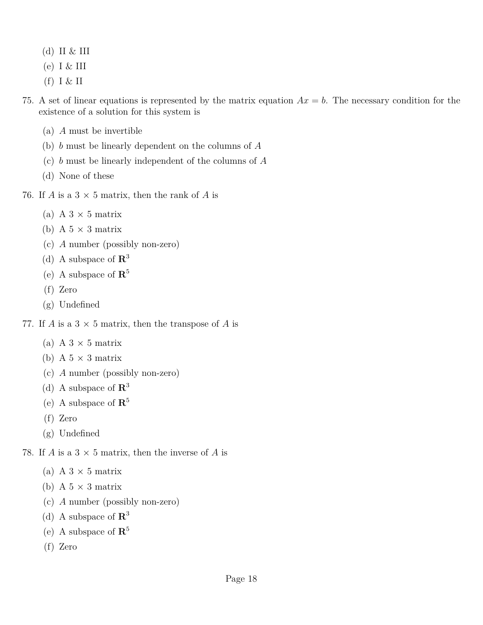- (d) II & III
- (e) I & III
- $(f)$  I & II
- 75. A set of linear equations is represented by the matrix equation  $Ax = b$ . The necessary condition for the existence of a solution for this system is
	- (a) *A* must be invertible
	- (b) *b* must be linearly dependent on the columns of *A*
	- (c) *b* must be linearly independent of the columns of *A*
	- (d) None of these
- 76. If *A* is a  $3 \times 5$  matrix, then the rank of *A* is
	- (a) A  $3 \times 5$  matrix
	- (b) A  $5 \times 3$  matrix
	- (c) *A* number (possibly non-zero)
	- (d) A subspace of **R** 3
	- (e) A subspace of **R** 5
	- (f) Zero
	- (g) Undefined
- 77. If *A* is a  $3 \times 5$  matrix, then the transpose of *A* is
	- (a) A  $3 \times 5$  matrix
	- (b) A  $5 \times 3$  matrix
	- (c) *A* number (possibly non-zero)
	- (d) A subspace of **R** 3
	- (e) A subspace of **R** 5
	- (f) Zero
	- (g) Undefined

78. If *A* is a  $3 \times 5$  matrix, then the inverse of *A* is

- (a) A  $3 \times 5$  matrix
- (b) A  $5 \times 3$  matrix
- (c) *A* number (possibly non-zero)
- (d) A subspace of **R** 3
- (e) A subspace of **R** 5
- (f) Zero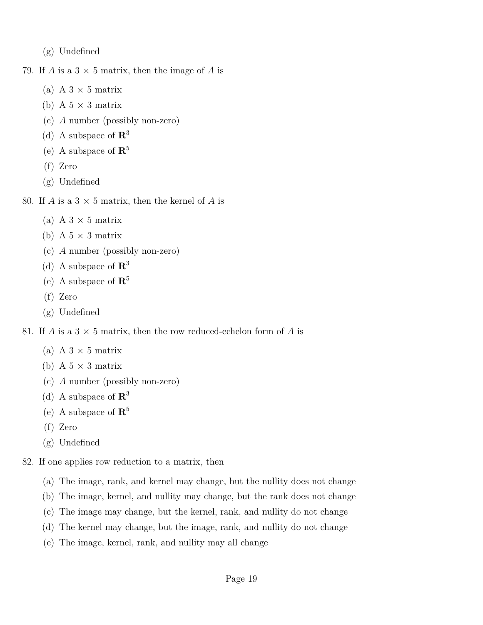(g) Undefined

79. If *A* is a  $3 \times 5$  matrix, then the image of *A* is

- (a) A  $3 \times 5$  matrix
- (b) A  $5 \times 3$  matrix
- (c) *A* number (possibly non-zero)
- (d) A subspace of **R** 3
- (e) A subspace of **R** 5
- (f) Zero
- (g) Undefined
- 80. If *A* is a  $3 \times 5$  matrix, then the kernel of *A* is
	- (a) A  $3 \times 5$  matrix
	- (b) A  $5 \times 3$  matrix
	- (c) *A* number (possibly non-zero)
	- (d) A subspace of **R** 3
	- (e) A subspace of **R** 5
	- (f) Zero
	- (g) Undefined

81. If *A* is a  $3 \times 5$  matrix, then the row reduced-echelon form of *A* is

- (a) A  $3 \times 5$  matrix
- (b) A  $5 \times 3$  matrix
- (c) *A* number (possibly non-zero)
- (d) A subspace of **R** 3
- (e) A subspace of **R** 5
- (f) Zero
- (g) Undefined
- 82. If one applies row reduction to a matrix, then
	- (a) The image, rank, and kernel may change, but the nullity does not change
	- (b) The image, kernel, and nullity may change, but the rank does not change
	- (c) The image may change, but the kernel, rank, and nullity do not change
	- (d) The kernel may change, but the image, rank, and nullity do not change
	- (e) The image, kernel, rank, and nullity may all change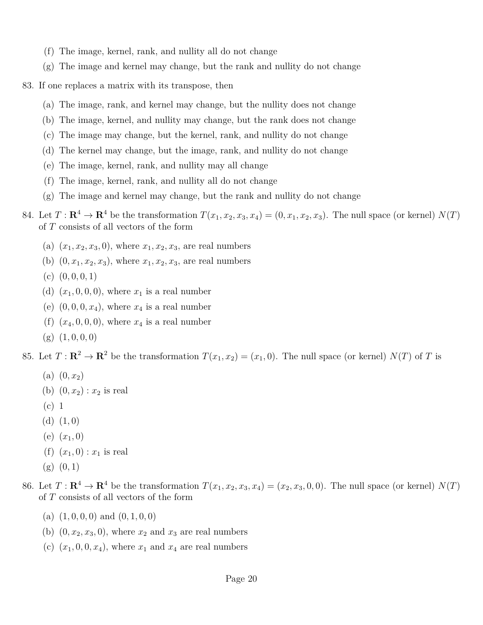- (f) The image, kernel, rank, and nullity all do not change
- $(g)$  The image and kernel may change, but the rank and nullity do not change
- 83. If one replaces a matrix with its transpose, then
	- (a) The image, rank, and kernel may change, but the nullity does not change
	- (b) The image, kernel, and nullity may change, but the rank does not change
	- (c) The image may change, but the kernel, rank, and nullity do not change
	- (d) The kernel may change, but the image, rank, and nullity do not change
	- (e) The image, kernel, rank, and nullity may all change
	- (f) The image, kernel, rank, and nullity all do not change
	- (g) The image and kernel may change, but the rank and nullity do not change
- 84. Let  $T: \mathbb{R}^4 \to \mathbb{R}^4$  be the transformation  $T(x_1, x_2, x_3, x_4) = (0, x_1, x_2, x_3)$ . The null space (or kernel)  $N(T)$ of *T* consists of all vectors of the form
	- (a)  $(x_1, x_2, x_3, 0)$ , where  $x_1, x_2, x_3$ , are real numbers
	- (b)  $(0, x_1, x_2, x_3)$ , where  $x_1, x_2, x_3$ , are real numbers
	- $(c)$   $(0, 0, 0, 1)$
	- (d)  $(x_1, 0, 0, 0)$ , where  $x_1$  is a real number
	- (e)  $(0, 0, 0, x_4)$ , where  $x_4$  is a real number
	- (f)  $(x_4, 0, 0, 0)$ , where  $x_4$  is a real number
	- $(g)$   $(1, 0, 0, 0)$

85. Let  $T: \mathbb{R}^2 \to \mathbb{R}^2$  be the transformation  $T(x_1, x_2) = (x_1, 0)$ . The null space (or kernel)  $N(T)$  of *T* is

- (a)  $(0, x_2)$
- (b)  $(0, x_2) : x_2$  is real
- (c) 1
- (d) (1*,* 0)
- $(e)$   $(x_1, 0)$
- (f)  $(x_1, 0) : x_1$  is real
- (g) (0*,* 1)

86. Let  $T: \mathbb{R}^4 \to \mathbb{R}^4$  be the transformation  $T(x_1, x_2, x_3, x_4) = (x_2, x_3, 0, 0)$ . The null space (or kernel)  $N(T)$ of *T* consists of all vectors of the form

- $(a)$   $(1, 0, 0, 0)$  and  $(0, 1, 0, 0)$
- (b)  $(0, x_2, x_3, 0)$ , where  $x_2$  and  $x_3$  are real numbers
- (c)  $(x_1, 0, 0, x_4)$ , where  $x_1$  and  $x_4$  are real numbers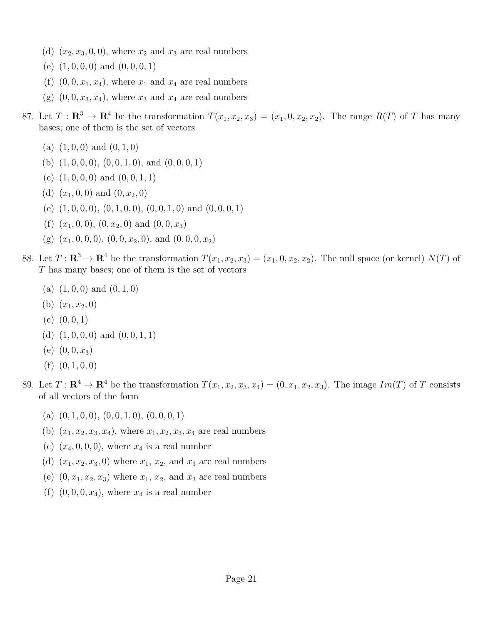- (d)  $(x_2, x_3, 0, 0)$ , where  $x_2$  and  $x_3$  are real numbers
- (e) (1*,* 0*,* 0*,* 0) and (0*,* 0*,* 0*,* 1)
- (f)  $(0, 0, x_1, x_4)$ , where  $x_1$  and  $x_4$  are real numbers
- (g)  $(0, 0, x_3, x_4)$ , where  $x_3$  and  $x_4$  are real numbers
- 87. Let  $T: \mathbb{R}^3 \to \mathbb{R}^4$  be the transformation  $T(x_1, x_2, x_3) = (x_1, 0, x_2, x_2)$ . The range  $R(T)$  of *T* has many bases; one of them is the set of vectors
	- (a)  $(1, 0, 0)$  and  $(0, 1, 0)$
	- (b) (1*,* 0*,* 0*,* 0), (0*,* 0*,* 1*,* 0), and (0*,* 0*,* 0*,* 1)
	- (c)  $(1, 0, 0, 0)$  and  $(0, 0, 1, 1)$
	- (d)  $(x_1, 0, 0)$  and  $(0, x_2, 0)$
	- (e) (1*,* 0*,* 0*,* 0), (0*,* 1*,* 0*,* 0), (0*,* 0*,* 1*,* 0) and (0*,* 0*,* 0*,* 1)
	- (f)  $(x_1, 0, 0), (0, x_2, 0)$  and  $(0, 0, x_3)$
	- (g)  $(x_1, 0, 0, 0), (0, 0, x_2, 0), \text{ and } (0, 0, 0, x_2)$
- 88. Let  $T: \mathbb{R}^3 \to \mathbb{R}^4$  be the transformation  $T(x_1, x_2, x_3) = (x_1, 0, x_2, x_2)$ . The null space (or kernel)  $N(T)$  of *T* has many bases; one of them is the set of vectors
	- $(a)$   $(1, 0, 0)$  and  $(0, 1, 0)$
	- (b)  $(x_1, x_2, 0)$
	- $(c)$   $(0, 0, 1)$
	- (d) (1*,* 0*,* 0*,* 0) and (0*,* 0*,* 1*,* 1)
	- (e)  $(0, 0, x_3)$
	- $(f)$   $(0, 1, 0, 0)$
- 89. Let  $T: \mathbb{R}^4 \to \mathbb{R}^4$  be the transformation  $T(x_1, x_2, x_3, x_4) = (0, x_1, x_2, x_3)$ . The image  $Im(T)$  of T consists of all vectors of the form
	- (a) (0*,* 1*,* 0*,* 0), (0*,* 0*,* 1*,* 0), (0*,* 0*,* 0*,* 1)
	- (b)  $(x_1, x_2, x_3, x_4)$ , where  $x_1, x_2, x_3, x_4$  are real numbers
	- (c)  $(x_4, 0, 0, 0)$ , where  $x_4$  is a real number
	- (d)  $(x_1, x_2, x_3, 0)$  where  $x_1, x_2, x_3$  and  $x_3$  are real numbers
	- (e)  $(0, x_1, x_2, x_3)$  where  $x_1, x_2, x_3$  and  $x_3$  are real numbers
	- (f)  $(0,0,0,x_4)$ , where  $x_4$  is a real number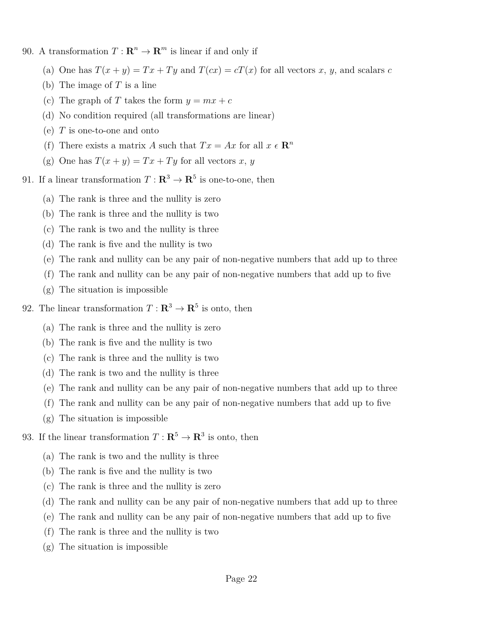- 90. A transformation  $T: \mathbb{R}^n \to \mathbb{R}^m$  is linear if and only if
	- (a) One has  $T(x + y) = Tx + Ty$  and  $T(cx) = cT(x)$  for all vectors *x*, *y*, and scalars *c*
	- (b) The image of *T* is a line
	- (c) The graph of *T* takes the form  $y = mx + c$
	- (d) No condition required (all transformations are linear)
	- (e) *T* is one-to-one and onto
	- (f) There exists a matrix *A* such that  $Tx = Ax$  for all  $x \in \mathbb{R}^n$
	- (g) One has  $T(x + y) = Tx + Ty$  for all vectors *x*, *y*

91. If a linear transformation  $T: \mathbb{R}^3 \to \mathbb{R}^5$  is one-to-one, then

- (a) The rank is three and the nullity is zero
- (b) The rank is three and the nullity is two
- (c) The rank is two and the nullity is three
- (d) The rank is five and the nullity is two
- (e) The rank and nullity can be any pair of non-negative numbers that add up to three
- (f) The rank and nullity can be any pair of non-negative numbers that add up to five
- (g) The situation is impossible
- 92. The linear transformation  $T : \mathbb{R}^3 \to \mathbb{R}^5$  is onto, then
	- (a) The rank is three and the nullity is zero
	- (b) The rank is five and the nullity is two
	- (c) The rank is three and the nullity is two
	- (d) The rank is two and the nullity is three
	- (e) The rank and nullity can be any pair of non-negative numbers that add up to three
	- (f) The rank and nullity can be any pair of non-negative numbers that add up to five
	- (g) The situation is impossible
- 93. If the linear transformation  $T: \mathbb{R}^5 \to \mathbb{R}^3$  is onto, then
	- (a) The rank is two and the nullity is three
	- (b) The rank is five and the nullity is two
	- (c) The rank is three and the nullity is zero
	- (d) The rank and nullity can be any pair of non-negative numbers that add up to three
	- (e) The rank and nullity can be any pair of non-negative numbers that add up to five
	- (f) The rank is three and the nullity is two
	- (g) The situation is impossible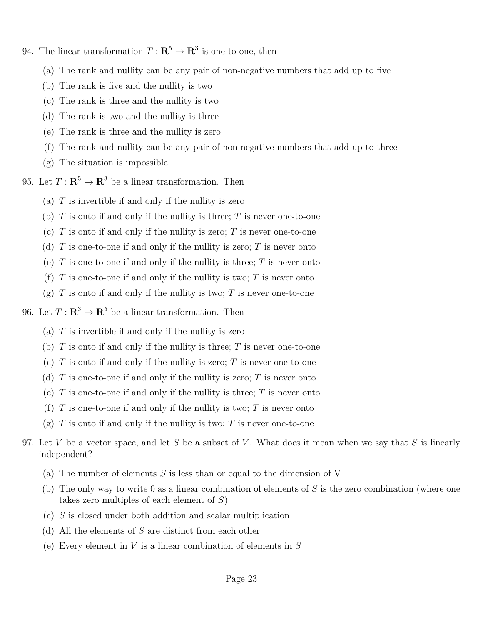- 94. The linear transformation  $T : \mathbb{R}^5 \to \mathbb{R}^3$  is one-to-one, then
	- (a) The rank and nullity can be any pair of non-negative numbers that add up to five
	- (b) The rank is five and the nullity is two
	- (c) The rank is three and the nullity is two
	- (d) The rank is two and the nullity is three
	- (e) The rank is three and the nullity is zero
	- (f) The rank and nullity can be any pair of non-negative numbers that add up to three
	- (g) The situation is impossible
- 95. Let  $T: \mathbb{R}^5 \to \mathbb{R}^3$  be a linear transformation. Then
	- (a)  $T$  is invertible if and only if the nullity is zero
		- (b) *T* is onto if and only if the nullity is three; *T* is never one-to-one
		- (c) *T* is onto if and only if the nullity is zero; *T* is never one-to-one
		- (d) *T* is one-to-one if and only if the nullity is zero; *T* is never onto
		- (e) *T* is one-to-one if and only if the nullity is three; *T* is never onto
		- (f) *T* is one-to-one if and only if the nullity is two; *T* is never onto
		- (g)  $T$  is onto if and only if the nullity is two;  $T$  is never one-to-one

96. Let  $T: \mathbb{R}^3 \to \mathbb{R}^5$  be a linear transformation. Then

- (a) *T* is invertible if and only if the nullity is zero
- (b) *T* is onto if and only if the nullity is three; *T* is never one-to-one
- (c) *T* is onto if and only if the nullity is zero; *T* is never one-to-one
- (d) *T* is one-to-one if and only if the nullity is zero; *T* is never onto
- (e) *T* is one-to-one if and only if the nullity is three; *T* is never onto
- (f) *T* is one-to-one if and only if the nullity is two; *T* is never onto
- (g) *T* is onto if and only if the nullity is two; *T* is never one-to-one
- 97. Let *V* be a vector space, and let *S* be a subset of *V* . What does it mean when we say that *S* is linearly independent?
	- (a) The number of elements *S* is less than or equal to the dimension of V
	- (b) The only way to write 0 as a linear combination of elements of *S* is the zero combination (where one takes zero multiples of each element of *S*)
	- (c) *S* is closed under both addition and scalar multiplication
	- (d) All the elements of *S* are distinct from each other
	- (e) Every element in *V* is a linear combination of elements in *S*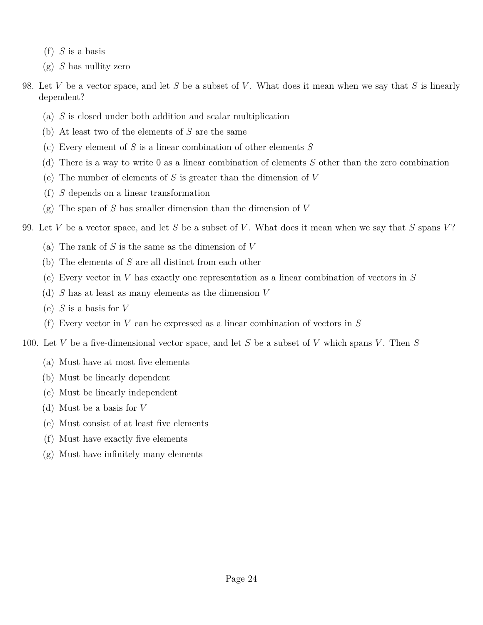- (f) *S* is a basis
- (g) *S* has nullity zero
- 98. Let *V* be a vector space, and let *S* be a subset of *V* . What does it mean when we say that *S* is linearly dependent?
	- (a) *S* is closed under both addition and scalar multiplication
	- (b) At least two of the elements of *S* are the same
	- (c) Every element of *S* is a linear combination of other elements *S*
	- (d) There is a way to write 0 as a linear combination of elements *S* other than the zero combination
	- (e) The number of elements of *S* is greater than the dimension of *V*
	- (f) *S* depends on a linear transformation
	- (g) The span of *S* has smaller dimension than the dimension of *V*

99. Let *V* be a vector space, and let *S* be a subset of *V* . What does it mean when we say that *S* spans *V* ?

- (a) The rank of *S* is the same as the dimension of *V*
- (b) The elements of *S* are all distinct from each other
- (c) Every vector in *V* has exactly one representation as a linear combination of vectors in *S*
- (d) *S* has at least as many elements as the dimension *V*
- (e) *S* is a basis for *V*
- (f) Every vector in *V* can be expressed as a linear combination of vectors in *S*
- 100. Let *V* be a five-dimensional vector space, and let *S* be a subset of *V* which spans *V* . Then *S*
	- (a) Must have at most five elements
	- (b) Must be linearly dependent
	- (c) Must be linearly independent
	- (d) Must be a basis for *V*
	- (e) Must consist of at least five elements
	- (f) Must have exactly five elements
	- (g) Must have infinitely many elements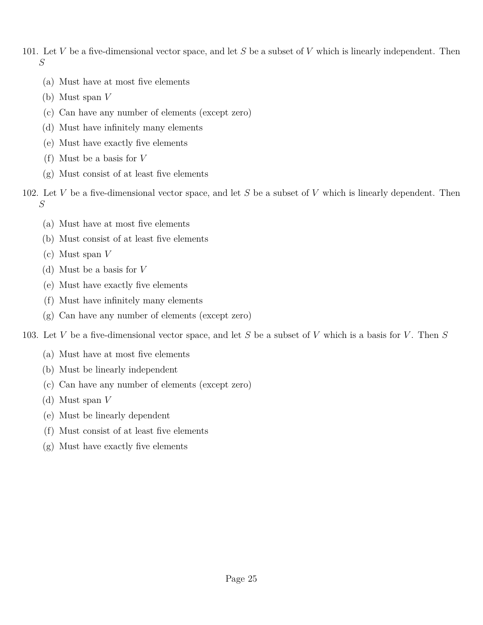- 101. Let *V* be a five-dimensional vector space, and let *S* be a subset of *V* which is linearly independent. Then *S*
	- (a) Must have at most five elements
	- (b) Must span *V*
	- (c) Can have any number of elements (except zero)
	- (d) Must have infinitely many elements
	- (e) Must have exactly five elements
	- (f) Must be a basis for *V*
	- (g) Must consist of at least five elements
- 102. Let *V* be a five-dimensional vector space, and let *S* be a subset of *V* which is linearly dependent. Then *S*
	- (a) Must have at most five elements
	- (b) Must consist of at least five elements
	- (c) Must span *V*
	- (d) Must be a basis for *V*
	- (e) Must have exactly five elements
	- (f) Must have infinitely many elements
	- (g) Can have any number of elements (except zero)
- 103. Let *V* be a five-dimensional vector space, and let *S* be a subset of *V* which is a basis for *V* . Then *S*
	- (a) Must have at most five elements
	- (b) Must be linearly independent
	- (c) Can have any number of elements (except zero)
	- (d) Must span *V*
	- (e) Must be linearly dependent
	- (f) Must consist of at least five elements
	- (g) Must have exactly five elements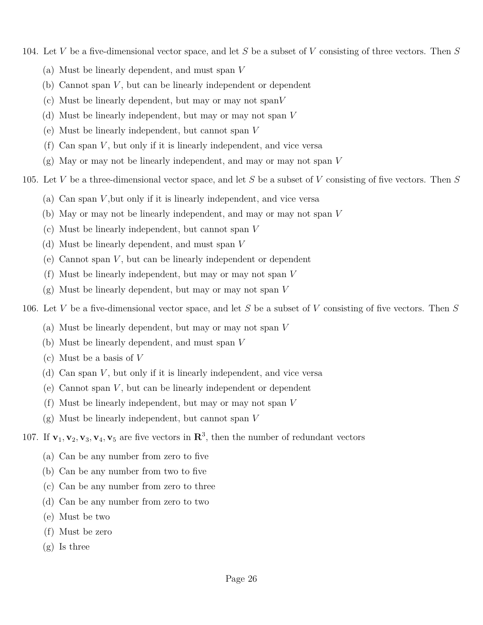- 104. Let *V* be a five-dimensional vector space, and let *S* be a subset of *V* consisting of three vectors. Then *S*
	- (a) Must be linearly dependent, and must span *V*
	- (b) Cannot span *V* , but can be linearly independent or dependent
	- (c) Must be linearly dependent, but may or may not span*V*
	- (d) Must be linearly independent, but may or may not span *V*
	- (e) Must be linearly independent, but cannot span *V*
	- (f) Can span *V* , but only if it is linearly independent, and vice versa
	- (g) May or may not be linearly independent, and may or may not span *V*
- 105. Let *V* be a three-dimensional vector space, and let *S* be a subset of *V* consisting of five vectors. Then *S*
	- (a) Can span *V* ,but only if it is linearly independent, and vice versa
	- (b) May or may not be linearly independent, and may or may not span *V*
	- (c) Must be linearly independent, but cannot span *V*
	- (d) Must be linearly dependent, and must span *V*
	- (e) Cannot span *V* , but can be linearly independent or dependent
	- (f) Must be linearly independent, but may or may not span *V*
	- (g) Must be linearly dependent, but may or may not span *V*
- 106. Let *V* be a five-dimensional vector space, and let *S* be a subset of *V* consisting of five vectors. Then *S*
	- (a) Must be linearly dependent, but may or may not span *V*
	- (b) Must be linearly dependent, and must span *V*
	- (c) Must be a basis of *V*
	- (d) Can span *V* , but only if it is linearly independent, and vice versa
	- (e) Cannot span *V* , but can be linearly independent or dependent
	- (f) Must be linearly independent, but may or may not span *V*
	- (g) Must be linearly independent, but cannot span *V*
- 107. If  $\mathbf{v}_1, \mathbf{v}_2, \mathbf{v}_3, \mathbf{v}_4, \mathbf{v}_5$  are five vectors in  $\mathbb{R}^3$ , then the number of redundant vectors
	- (a) Can be any number from zero to five
	- (b) Can be any number from two to five
	- (c) Can be any number from zero to three
	- (d) Can be any number from zero to two
	- (e) Must be two
	- (f) Must be zero
	- (g) Is three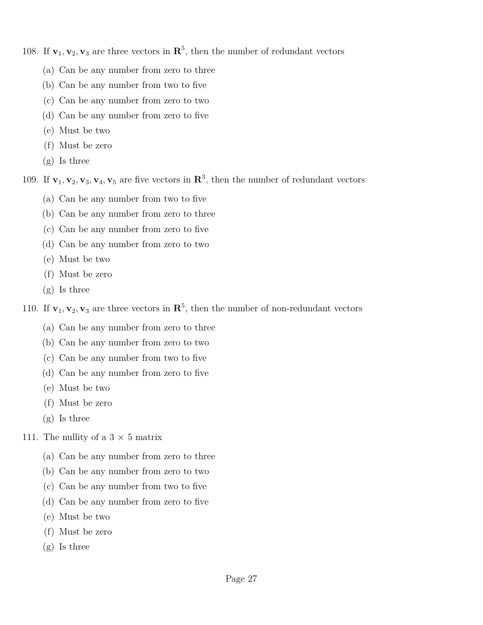108. If  $\mathbf{v}_1, \mathbf{v}_2, \mathbf{v}_3$  are three vectors in  $\mathbb{R}^5$ , then the number of redundant vectors

- (a) Can be any number from zero to three
- (b) Can be any number from two to five
- (c) Can be any number from zero to two
- (d) Can be any number from zero to five
- (e) Must be two
- (f) Must be zero
- (g) Is three

109. If  $\mathbf{v}_1, \mathbf{v}_2, \mathbf{v}_3, \mathbf{v}_4, \mathbf{v}_5$  are five vectors in  $\mathbb{R}^3$ , then the number of redundant vectors

- (a) Can be any number from two to five
- (b) Can be any number from zero to three
- (c) Can be any number from zero to five
- (d) Can be any number from zero to two
- (e) Must be two
- (f) Must be zero
- (g) Is three

110. If  $\mathbf{v}_1, \mathbf{v}_2, \mathbf{v}_3$  are three vectors in  $\mathbb{R}^5$ , then the number of non-redundant vectors

- (a) Can be any number from zero to three
- (b) Can be any number from zero to two
- (c) Can be any number from two to five
- (d) Can be any number from zero to five
- (e) Must be two
- (f) Must be zero
- (g) Is three
- 111. The nullity of a  $3 \times 5$  matrix
	- (a) Can be any number from zero to three
	- (b) Can be any number from zero to two
	- (c) Can be any number from two to five
	- (d) Can be any number from zero to five
	- (e) Must be two
	- (f) Must be zero
	- (g) Is three